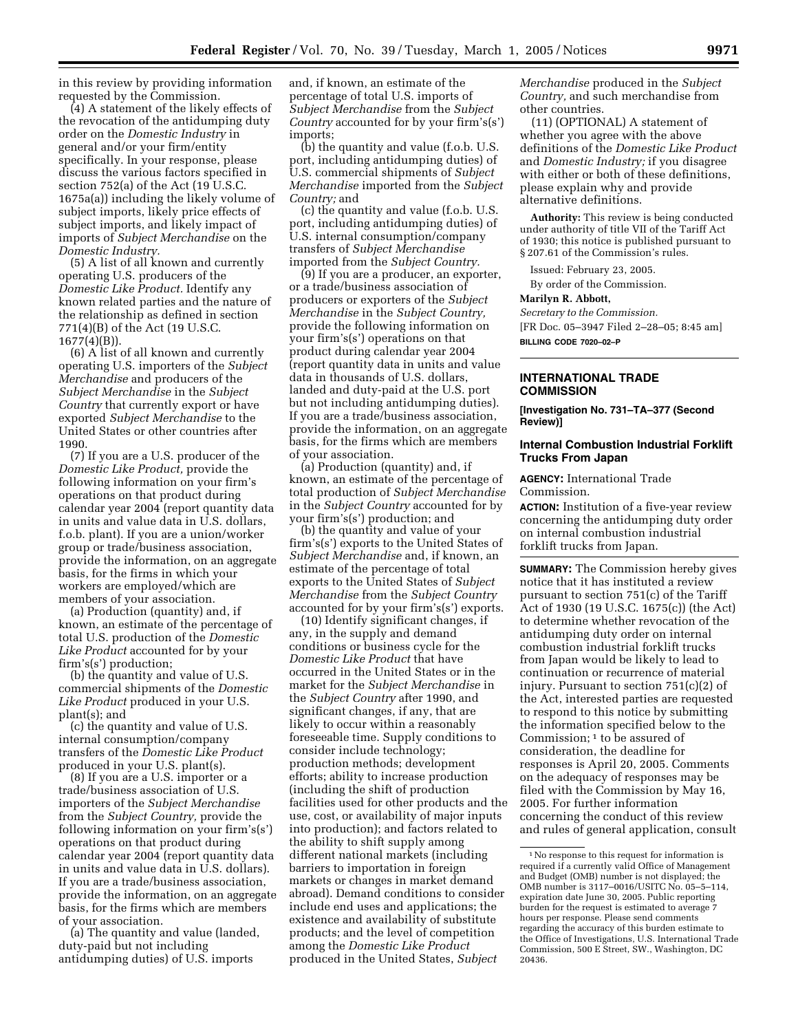in this review by providing information requested by the Commission.

(4) A statement of the likely effects of the revocation of the antidumping duty order on the *Domestic Industry* in general and/or your firm/entity specifically. In your response, please discuss the various factors specified in section 752(a) of the Act (19 U.S.C. 1675a(a)) including the likely volume of subject imports, likely price effects of subject imports, and likely impact of imports of *Subject Merchandise* on the *Domestic Industry.*

(5) A list of all known and currently operating U.S. producers of the *Domestic Like Product.* Identify any known related parties and the nature of the relationship as defined in section 771(4)(B) of the Act (19 U.S.C. 1677(4)(B)).

(6) A list of all known and currently operating U.S. importers of the *Subject Merchandise* and producers of the *Subject Merchandise* in the *Subject Country* that currently export or have exported *Subject Merchandise* to the United States or other countries after 1990.

(7) If you are a U.S. producer of the *Domestic Like Product,* provide the following information on your firm's operations on that product during calendar year 2004 (report quantity data in units and value data in U.S. dollars, f.o.b. plant). If you are a union/worker group or trade/business association, provide the information, on an aggregate basis, for the firms in which your workers are employed/which are members of your association.

(a) Production (quantity) and, if known, an estimate of the percentage of total U.S. production of the *Domestic Like Product* accounted for by your firm's(s') production;

(b) the quantity and value of U.S. commercial shipments of the *Domestic Like Product* produced in your U.S. plant(s); and

(c) the quantity and value of U.S. internal consumption/company transfers of the *Domestic Like Product* produced in your U.S. plant(s).

(8) If you are a U.S. importer or a trade/business association of U.S. importers of the *Subject Merchandise* from the *Subject Country,* provide the following information on your firm's(s') operations on that product during calendar year 2004 (report quantity data in units and value data in U.S. dollars). If you are a trade/business association, provide the information, on an aggregate basis, for the firms which are members of your association.

(a) The quantity and value (landed, duty-paid but not including antidumping duties) of U.S. imports

and, if known, an estimate of the percentage of total U.S. imports of *Subject Merchandise* from the *Subject Country* accounted for by your firm's(s') imports;

(b) the quantity and value (f.o.b. U.S. port, including antidumping duties) of U.S. commercial shipments of *Subject Merchandise* imported from the *Subject Country;* and

(c) the quantity and value (f.o.b. U.S. port, including antidumping duties) of U.S. internal consumption/company transfers of *Subject Merchandise* imported from the *Subject Country.*

(9) If you are a producer, an exporter, or a trade/business association of producers or exporters of the *Subject Merchandise* in the *Subject Country,* provide the following information on your firm's(s') operations on that product during calendar year 2004 (report quantity data in units and value data in thousands of U.S. dollars, landed and duty-paid at the U.S. port but not including antidumping duties). If you are a trade/business association, provide the information, on an aggregate basis, for the firms which are members of your association.

(a) Production (quantity) and, if known, an estimate of the percentage of total production of *Subject Merchandise* in the *Subject Country* accounted for by your firm's(s') production; and

(b) the quantity and value of your firm's(s') exports to the United States of *Subject Merchandise* and, if known, an estimate of the percentage of total exports to the United States of *Subject Merchandise* from the *Subject Country* accounted for by your firm's(s') exports.

(10) Identify significant changes, if any, in the supply and demand conditions or business cycle for the *Domestic Like Product* that have occurred in the United States or in the market for the *Subject Merchandise* in the *Subject Country* after 1990, and significant changes, if any, that are likely to occur within a reasonably foreseeable time. Supply conditions to consider include technology; production methods; development efforts; ability to increase production (including the shift of production facilities used for other products and the use, cost, or availability of major inputs into production); and factors related to the ability to shift supply among different national markets (including barriers to importation in foreign markets or changes in market demand abroad). Demand conditions to consider include end uses and applications; the existence and availability of substitute products; and the level of competition among the *Domestic Like Product* produced in the United States, *Subject* 

*Merchandise* produced in the *Subject Country,* and such merchandise from other countries.

(11) (OPTIONAL) A statement of whether you agree with the above definitions of the *Domestic Like Product* and *Domestic Industry;* if you disagree with either or both of these definitions, please explain why and provide alternative definitions.

**Authority:** This review is being conducted under authority of title VII of the Tariff Act of 1930; this notice is published pursuant to § 207.61 of the Commission's rules.

Issued: February 23, 2005. By order of the Commission.

# **Marilyn R. Abbott,**

*Secretary to the Commission.* [FR Doc. 05–3947 Filed 2–28–05; 8:45 am] **BILLING CODE 7020–02–P**

#### **INTERNATIONAL TRADE COMMISSION**

**[Investigation No. 731–TA–377 (Second Review)]** 

### **Internal Combustion Industrial Forklift Trucks From Japan**

**AGENCY:** International Trade Commission.

**ACTION:** Institution of a five-year review concerning the antidumping duty order on internal combustion industrial forklift trucks from Japan.

**SUMMARY:** The Commission hereby gives notice that it has instituted a review pursuant to section 751(c) of the Tariff Act of 1930 (19 U.S.C. 1675(c)) (the Act) to determine whether revocation of the antidumping duty order on internal combustion industrial forklift trucks from Japan would be likely to lead to continuation or recurrence of material injury. Pursuant to section 751(c)(2) of the Act, interested parties are requested to respond to this notice by submitting the information specified below to the Commission; 1 to be assured of consideration, the deadline for responses is April 20, 2005. Comments on the adequacy of responses may be filed with the Commission by May 16, 2005. For further information concerning the conduct of this review and rules of general application, consult

<sup>1</sup>No response to this request for information is required if a currently valid Office of Management and Budget (OMB) number is not displayed; the OMB number is 3117–0016/USITC No. 05–5–114, expiration date June 30, 2005. Public reporting burden for the request is estimated to average 7 hours per response. Please send comments regarding the accuracy of this burden estimate to the Office of Investigations, U.S. International Trade Commission, 500 E Street, SW., Washington, DC 20436.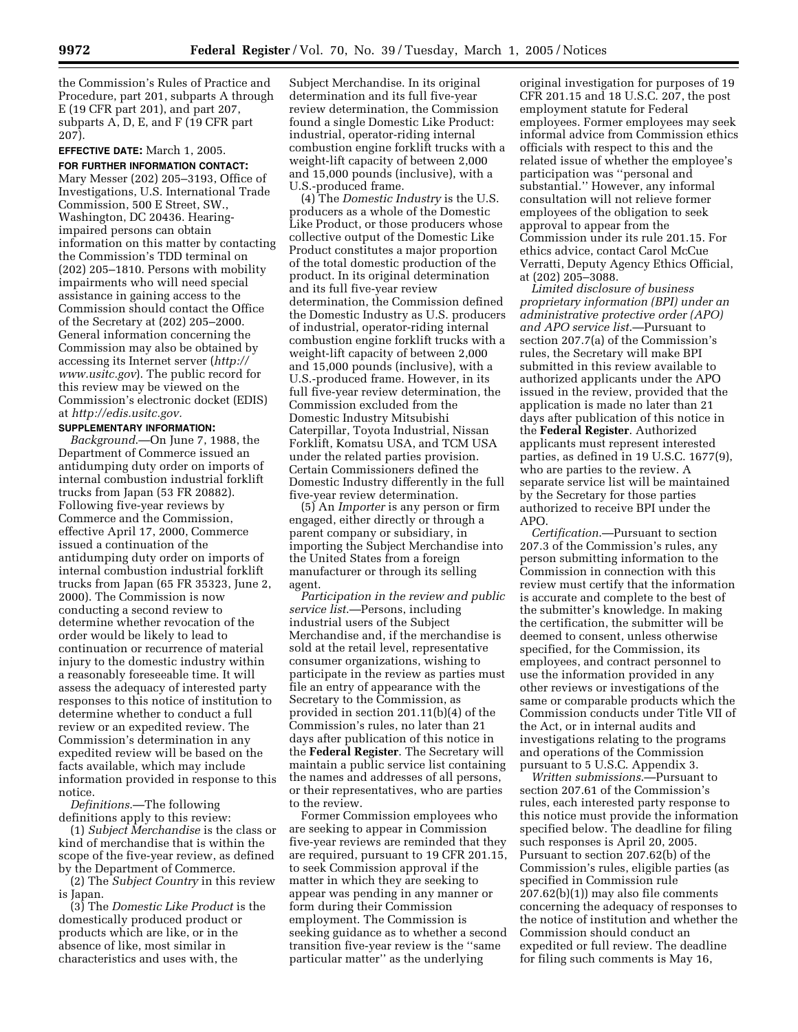the Commission's Rules of Practice and Procedure, part 201, subparts A through E (19 CFR part 201), and part 207, subparts A, D, E, and F (19 CFR part 207).

# **EFFECTIVE DATE:** March 1, 2005.

**FOR FURTHER INFORMATION CONTACT:** Mary Messer (202) 205–3193, Office of Investigations, U.S. International Trade Commission, 500 E Street, SW., Washington, DC 20436. Hearingimpaired persons can obtain information on this matter by contacting the Commission's TDD terminal on (202) 205–1810. Persons with mobility impairments who will need special assistance in gaining access to the Commission should contact the Office of the Secretary at (202) 205–2000. General information concerning the Commission may also be obtained by accessing its Internet server (*http:// www.usitc.gov*). The public record for this review may be viewed on the Commission's electronic docket (EDIS) at *http://edis.usitc.gov.*

#### **SUPPLEMENTARY INFORMATION:**

*Background*.—On June 7, 1988, the Department of Commerce issued an antidumping duty order on imports of internal combustion industrial forklift trucks from Japan (53 FR 20882). Following five-year reviews by Commerce and the Commission, effective April 17, 2000, Commerce issued a continuation of the antidumping duty order on imports of internal combustion industrial forklift trucks from Japan (65 FR 35323, June 2, 2000). The Commission is now conducting a second review to determine whether revocation of the order would be likely to lead to continuation or recurrence of material injury to the domestic industry within a reasonably foreseeable time. It will assess the adequacy of interested party responses to this notice of institution to determine whether to conduct a full review or an expedited review. The Commission's determination in any expedited review will be based on the facts available, which may include information provided in response to this notice.

*Definitions*.—The following definitions apply to this review:

(1) *Subject Merchandise* is the class or kind of merchandise that is within the scope of the five-year review, as defined by the Department of Commerce.

(2) The *Subject Country* in this review is Japan.

(3) The *Domestic Like Product* is the domestically produced product or products which are like, or in the absence of like, most similar in characteristics and uses with, the

Subject Merchandise. In its original determination and its full five-year review determination, the Commission found a single Domestic Like Product: industrial, operator-riding internal combustion engine forklift trucks with a weight-lift capacity of between 2,000 and 15,000 pounds (inclusive), with a U.S.-produced frame.

(4) The *Domestic Industry* is the U.S. producers as a whole of the Domestic Like Product, or those producers whose collective output of the Domestic Like Product constitutes a major proportion of the total domestic production of the product. In its original determination and its full five-year review determination, the Commission defined the Domestic Industry as U.S. producers of industrial, operator-riding internal combustion engine forklift trucks with a weight-lift capacity of between 2,000 and 15,000 pounds (inclusive), with a U.S.-produced frame. However, in its full five-year review determination, the Commission excluded from the Domestic Industry Mitsubishi Caterpillar, Toyota Industrial, Nissan Forklift, Komatsu USA, and TCM USA under the related parties provision. Certain Commissioners defined the Domestic Industry differently in the full five-year review determination.

(5) An *Importer* is any person or firm engaged, either directly or through a parent company or subsidiary, in importing the Subject Merchandise into the United States from a foreign manufacturer or through its selling agent.

*Participation in the review and public service list*.—Persons, including industrial users of the Subject Merchandise and, if the merchandise is sold at the retail level, representative consumer organizations, wishing to participate in the review as parties must file an entry of appearance with the Secretary to the Commission, as provided in section 201.11(b)(4) of the Commission's rules, no later than 21 days after publication of this notice in the **Federal Register**. The Secretary will maintain a public service list containing the names and addresses of all persons, or their representatives, who are parties to the review.

Former Commission employees who are seeking to appear in Commission five-year reviews are reminded that they are required, pursuant to 19 CFR 201.15, to seek Commission approval if the matter in which they are seeking to appear was pending in any manner or form during their Commission employment. The Commission is seeking guidance as to whether a second transition five-year review is the ''same particular matter'' as the underlying

original investigation for purposes of 19 CFR 201.15 and 18 U.S.C. 207, the post employment statute for Federal employees. Former employees may seek informal advice from Commission ethics officials with respect to this and the related issue of whether the employee's participation was ''personal and substantial.'' However, any informal consultation will not relieve former employees of the obligation to seek approval to appear from the Commission under its rule 201.15. For ethics advice, contact Carol McCue Verratti, Deputy Agency Ethics Official, at (202) 205–3088.

*Limited disclosure of business proprietary information (BPI) under an administrative protective order (APO) and APO service list*.—Pursuant to section 207.7(a) of the Commission's rules, the Secretary will make BPI submitted in this review available to authorized applicants under the APO issued in the review, provided that the application is made no later than 21 days after publication of this notice in the **Federal Register**. Authorized applicants must represent interested parties, as defined in 19 U.S.C. 1677(9), who are parties to the review. A separate service list will be maintained by the Secretary for those parties authorized to receive BPI under the APO.

*Certification*.—Pursuant to section 207.3 of the Commission's rules, any person submitting information to the Commission in connection with this review must certify that the information is accurate and complete to the best of the submitter's knowledge. In making the certification, the submitter will be deemed to consent, unless otherwise specified, for the Commission, its employees, and contract personnel to use the information provided in any other reviews or investigations of the same or comparable products which the Commission conducts under Title VII of the Act, or in internal audits and investigations relating to the programs and operations of the Commission pursuant to 5 U.S.C. Appendix 3.

*Written submissions*.—Pursuant to section 207.61 of the Commission's rules, each interested party response to this notice must provide the information specified below. The deadline for filing such responses is April 20, 2005. Pursuant to section 207.62(b) of the Commission's rules, eligible parties (as specified in Commission rule 207.62(b)(1)) may also file comments concerning the adequacy of responses to the notice of institution and whether the Commission should conduct an expedited or full review. The deadline for filing such comments is May 16,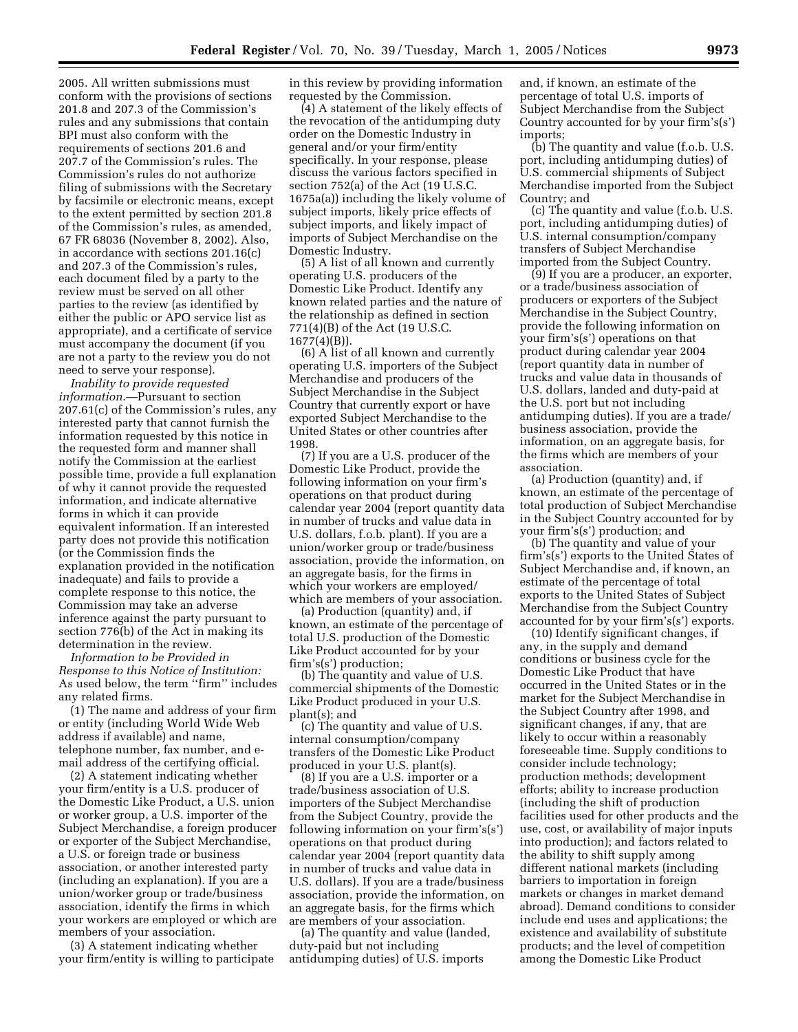2005. All written submissions must conform with the provisions of sections 201.8 and 207.3 of the Commission's rules and any submissions that contain BPI must also conform with the requirements of sections 201.6 and 207.7 of the Commission's rules. The Commission's rules do not authorize filing of submissions with the Secretary by facsimile or electronic means, except to the extent permitted by section 201.8 of the Commission's rules, as amended, 67 FR 68036 (November 8, 2002). Also, in accordance with sections 201.16(c) and 207.3 of the Commission's rules, each document filed by a party to the review must be served on all other parties to the review (as identified by either the public or APO service list as appropriate), and a certificate of service must accompany the document (if you are not a party to the review you do not need to serve your response).

*Inability to provide requested information*.—Pursuant to section 207.61(c) of the Commission's rules, any interested party that cannot furnish the information requested by this notice in the requested form and manner shall notify the Commission at the earliest possible time, provide a full explanation of why it cannot provide the requested information, and indicate alternative forms in which it can provide equivalent information. If an interested party does not provide this notification (or the Commission finds the explanation provided in the notification inadequate) and fails to provide a complete response to this notice, the Commission may take an adverse inference against the party pursuant to section 776(b) of the Act in making its determination in the review.

*Information to be Provided in Response to this Notice of Institution:* As used below, the term ''firm'' includes any related firms.

(1) The name and address of your firm or entity (including World Wide Web address if available) and name, telephone number, fax number, and email address of the certifying official.

(2) A statement indicating whether your firm/entity is a U.S. producer of the Domestic Like Product, a U.S. union or worker group, a U.S. importer of the Subject Merchandise, a foreign producer or exporter of the Subject Merchandise, a U.S. or foreign trade or business association, or another interested party (including an explanation). If you are a union/worker group or trade/business association, identify the firms in which your workers are employed or which are members of your association.

(3) A statement indicating whether your firm/entity is willing to participate in this review by providing information requested by the Commission.

(4) A statement of the likely effects of the revocation of the antidumping duty order on the Domestic Industry in general and/or your firm/entity specifically. In your response, please discuss the various factors specified in section 752(a) of the Act (19 U.S.C. 1675a(a)) including the likely volume of subject imports, likely price effects of subject imports, and likely impact of imports of Subject Merchandise on the Domestic Industry.

(5) A list of all known and currently operating U.S. producers of the Domestic Like Product. Identify any known related parties and the nature of the relationship as defined in section 771(4)(B) of the Act (19 U.S.C. 1677(4)(B)).

(6) A list of all known and currently operating U.S. importers of the Subject Merchandise and producers of the Subject Merchandise in the Subject Country that currently export or have exported Subject Merchandise to the United States or other countries after 1998.

(7) If you are a U.S. producer of the Domestic Like Product, provide the following information on your firm's operations on that product during calendar year 2004 (report quantity data in number of trucks and value data in U.S. dollars, f.o.b. plant). If you are a union/worker group or trade/business association, provide the information, on an aggregate basis, for the firms in which your workers are employed/ which are members of your association.

(a) Production (quantity) and, if known, an estimate of the percentage of total U.S. production of the Domestic Like Product accounted for by your firm's(s') production;

(b) The quantity and value of U.S. commercial shipments of the Domestic Like Product produced in your U.S. plant(s); and

(c) The quantity and value of U.S. internal consumption/company transfers of the Domestic Like Product produced in your U.S. plant(s).

(8) If you are a U.S. importer or a trade/business association of U.S. importers of the Subject Merchandise from the Subject Country, provide the following information on your firm's(s') operations on that product during calendar year 2004 (report quantity data in number of trucks and value data in U.S. dollars). If you are a trade/business association, provide the information, on an aggregate basis, for the firms which are members of your association.

(a) The quantity and value (landed, duty-paid but not including antidumping duties) of U.S. imports

and, if known, an estimate of the percentage of total U.S. imports of Subject Merchandise from the Subject Country accounted for by your firm's(s') imports;

(b) The quantity and value (f.o.b. U.S. port, including antidumping duties) of U.S. commercial shipments of Subject Merchandise imported from the Subject Country; and

(c) The quantity and value (f.o.b. U.S. port, including antidumping duties) of U.S. internal consumption/company transfers of Subject Merchandise imported from the Subject Country.

(9) If you are a producer, an exporter, or a trade/business association of producers or exporters of the Subject Merchandise in the Subject Country, provide the following information on your firm's(s') operations on that product during calendar year 2004 (report quantity data in number of trucks and value data in thousands of U.S. dollars, landed and duty-paid at the U.S. port but not including antidumping duties). If you are a trade/ business association, provide the information, on an aggregate basis, for the firms which are members of your association.

(a) Production (quantity) and, if known, an estimate of the percentage of total production of Subject Merchandise in the Subject Country accounted for by your firm's(s') production; and

(b) The quantity and value of your firm's(s') exports to the United States of Subject Merchandise and, if known, an estimate of the percentage of total exports to the United States of Subject Merchandise from the Subject Country accounted for by your firm's(s') exports.

(10) Identify significant changes, if any, in the supply and demand conditions or business cycle for the Domestic Like Product that have occurred in the United States or in the market for the Subject Merchandise in the Subject Country after 1998, and significant changes, if any, that are likely to occur within a reasonably foreseeable time. Supply conditions to consider include technology; production methods; development efforts; ability to increase production (including the shift of production facilities used for other products and the use, cost, or availability of major inputs into production); and factors related to the ability to shift supply among different national markets (including barriers to importation in foreign markets or changes in market demand abroad). Demand conditions to consider include end uses and applications; the existence and availability of substitute products; and the level of competition among the Domestic Like Product